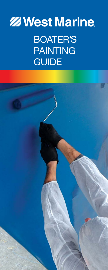# **ZZ West Marine** BOATER'S PAINTING GUIDE

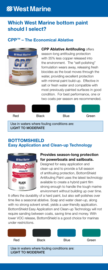### **Z** West Marine

#### Which West Marine bottom paint should I select?

#### CPP™ – The Economical Ablative



**CPP Ablative Antifouling offers** season-long antifouling protection with 35% less copper released into the environment. The "self-polishing" formulation wears away, releasing fresh biocides as the boat moves through the water, providing excellent protection with minimal paint build-up. Effective in salt or fresh water and compatible with most previously-painted surfaces in good condition. For best performance, one or two coats per season are recommended.



Use in waters where fouling conditions are: LIGHT TO MODERATE

#### BOTTOMSHIELD Easy Application and Clean-up Technology



#### Provides season-long protection for powerboats and sailboats.

Designed for easy application and clean-up and to provide a full season of antifouling protection, BottomShield Antifouling Paint uses the latest technology available to create a hybrid paint film strong enough to handle the tough marine environment without building up over time.

It offers the durability of a hard paint, but also self-polishes over time like a seasonal ablative. Soap and water clean-up, along with no strong solvent smell, yields a user-friendly application. BottomShield Easy Application and Clean-up Technology will not require sanding between coats, saving time and money. With lower VOC release, BottomShield is a good choice for marinas under restrictions.

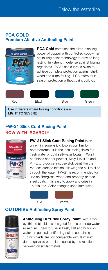#### PCA GOLD Premium Ablative Antifouling Paint



**PCA Gold** combines the slime-blocking power of copper with controlled copolymer antifouling paint technology to provide long lasting, full-strength defense against fouling organisms. PCA uses cuprous oxide to achieve complete protection against shell, weed and slime fouling. PCA offers multiseason protection without paint build-up.



#### FW-21 Slick Coat Racing Paint NOW WITH IRGAROL®



FW-21 Slick Coat Racing Paint is an ultra-thin, super-slick, low-friction film for boat bottoms. It is the ideal racing finish for fresh water or cold salt-water boats. FW-21 combines copper powder, Moly-Disulfide and PTFE to produce a super-slick paint film that reduces surface friction, allowing the hull to slide through the water. FW-21 is recommended for use on fiberglass, wood and properly-primed steel boats. It is easy to apply and dries in 15 minutes. Color changes upon immersion.



#### OUTDRIVE Antifouling Spray Paint



Antifouling OutDrive Spray Paint, with a zinc pyrithione biocide, is designed for use on underwater aluminum. Ideal for use in fresh, salt and brackish water. In general, antifouling paints containing cuprous oxide are not compatible with aluminum, due to galvanic corrosion caused by the reaction between dissimilar metals.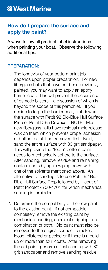#### How do I prepare the surface and apply the paint?

Always follow all product label instructions when painting your boat. Observe the following additional tips:

#### PREPARATION:

- 1. The longevity of your bottom paint job depends upon proper preparation. For new fiberglass hulls that have not been previously painted, you may want to apply an epoxy barrier coat. This will prevent the occurrence of osmotic blisters – a discussion of which is beyond the scope of this pamphlet. If you decide to forgo the barrier coat, first dewax the surface with Pettit 92 Bio-Blue Hull Surface Prep or Pettit D-95 Dewaxer. NOTE: Most new fiberglass hulls have residual mold release wax on them which prevents proper adhesion of bottom paint if not removed first. Next, sand the entire surface with 80 grit sandpaper. This will provide the "tooth" bottom paint needs to mechanically adhere to the surface. After sanding, remove residue and remaining contaminants by again wiping down with one of the solvents mentioned above. An alternative to sanding is to use Pettit 92 Bio-Blue Hull Surface Prep followed by 1 coat of Pettit Protect 4700/4701 for which mechanical sanding is forbidden.
- 2. Determine the compatibility of the new paint to the existing paint. If not compatible, completely remove the existing paint by mechanical sanding, chemical stripping or a combination of both. Old paint must also be removed to the original surface if cracked, loose, blistered or peeled or if there is a buildup or more than four coats. After removing the old paint, perform a final sanding with 80 grit sandpaper and remove sanding residue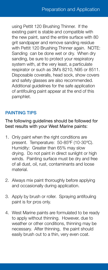using Pettit 120 Brushing Thinner. If the existing paint is stable and compatible with the new paint, sand the entire surface with 80 grit sandpaper and remove sanding residue with Pettit 120 Brushing Thinner again. NOTE: Sanding can be done wet or dry. When dry sanding, be sure to protect your respiratory system with, at the very least, a particulate respirator or such as 3M's 8210, N95 or 8511. Disposable coveralls, head sock, show covers and safety glasses are also recommended. Additional guidelines for the safe application of antifouling paint appear at the end of this pamphlet.

#### PAINTING TIPS

The following guidelines should be followed for best results with your West Marine paints:

- 1. Only paint when the right conditions are present. Temperature: 50-85ºF (10-30ºC). Humidity: Greater than 65% may slow drying. Do not paint in direct sunlight or high winds. Painting surface must be dry and free of all dust, oil, rust, contaminants and loose material.
- 2. Always mix paint thoroughly before applying and occasionally during application.
- 3. Apply by brush or roller. Spraying antifouling paint is for pros only.
- 4. West Marine paints are formulated to be ready to apply without thinning. However, due to weather or other conditions, thinning may be necessary. After thinning, the paint should easily brush out to a thin, very even coat.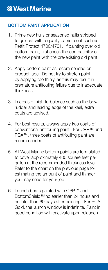#### BOTTOM PAINT APPLICATION

- 1. Prime new hulls or seasoned hulls stripped to gelcoat with a quality barrier coat such as Pettit Protect 4700/4701. If painting over old bottom paint, first check the compatibility of the new paint with the pre-existing old paint.
- 2. Apply bottom paint as recommended on product label. Do not try to stretch paint by applying too thinly, as this may result in premature antifouling failure due to inadequate thickness.
- 3. In areas of high turbulence such as the bow, rudder and leading edge of the keel, extra coats are advised.
- 4. For best results, always apply two coats of conventional antifouling paint. For CPP™ and PCA™, three coats of antifouling paint are recommended.
- 5. All West Marine bottom paints are formulated to cover approximately 400 square feet per gallon at the recommended thickness level. Refer to the chart on the previous page for estimating the amount of paint and thinner you may need for your job.
- 6. Launch boats painted with CPP™ and BottomShield™ no earlier than 24 hours and no later than 60 days after painting. For PCA Gold, the launch window is indefinite. Paint in good condition will reactivate upon relaunch.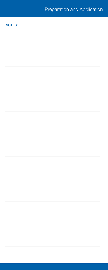#### NOTES:

| ۰ |
|---|
|   |
|   |
|   |
|   |
|   |
|   |
|   |
|   |